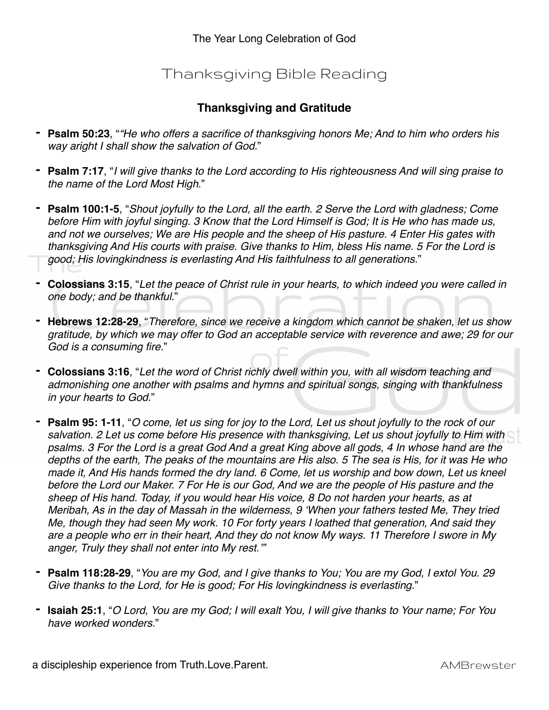## Thanksgiving Bible Reading

## **Thanksgiving and Gratitude**

- **- Psalm 50:23**, "*"He who offers a sacrifice of thanksgiving honors Me; And to him who orders his way aright I shall show the salvation of God.*"
- **- Psalm 7:17**, "*I will give thanks to the Lord according to His righteousness And will sing praise to the name of the Lord Most High*."
- **- Psalm 100:1-5**, "*Shout joyfully to the Lord, all the earth. 2 Serve the Lord with gladness; Come before Him with joyful singing. 3 Know that the Lord Himself is God; It is He who has made us, and not we ourselves; We are His people and the sheep of His pasture. 4 Enter His gates with thanksgiving And His courts with praise. Give thanks to Him, bless His name. 5 For the Lord is good; His lovingkindness is everlasting And His faithfulness to all generations.*"
- **- Colossians 3:15**, "*Let the peace of Christ rule in your hearts, to which indeed you were called in one body; and be thankful.*"
- **- Hebrews 12:28-29**, "*Therefore, since we receive a kingdom which cannot be shaken, let us show gratitude, by which we may offer to God an acceptable service with reverence and awe; 29 for our God is a consuming fire.*"
- **- Colossians 3:16**, "*Let the word of Christ richly dwell within you, with all wisdom teaching and admonishing one another with psalms and hymns and spiritual songs, singing with thankfulness in your hearts to God.*"
- **- Psalm 95: 1-11**, "*O come, let us sing for joy to the Lord, Let us shout joyfully to the rock of our salvation. 2 Let us come before His presence with thanksgiving, Let us shout joyfully to Him with psalms. 3 For the Lord is a great God And a great King above all gods, 4 In whose hand are the depths of the earth, The peaks of the mountains are His also. 5 The sea is His, for it was He who*  made it, And His hands formed the dry land. 6 Come, let us worship and bow down, Let us kneel *before the Lord our Maker. 7 For He is our God, And we are the people of His pasture and the sheep of His hand. Today, if you would hear His voice, 8 Do not harden your hearts, as at Meribah, As in the day of Massah in the wilderness, 9 'When your fathers tested Me, They tried Me, though they had seen My work. 10 For forty years I loathed that generation, And said they are a people who err in their heart, And they do not know My ways. 11 Therefore I swore in My anger, Truly they shall not enter into My rest.'"*
- **- Psalm 118:28-29**, "*You are my God, and I give thanks to You; You are my God, I extol You. 29 Give thanks to the Lord, for He is good; For His lovingkindness is everlasting*."
- **- Isaiah 25:1**, "*O Lord, You are my God; I will exalt You, I will give thanks to Your name; For You have worked wonders.*"